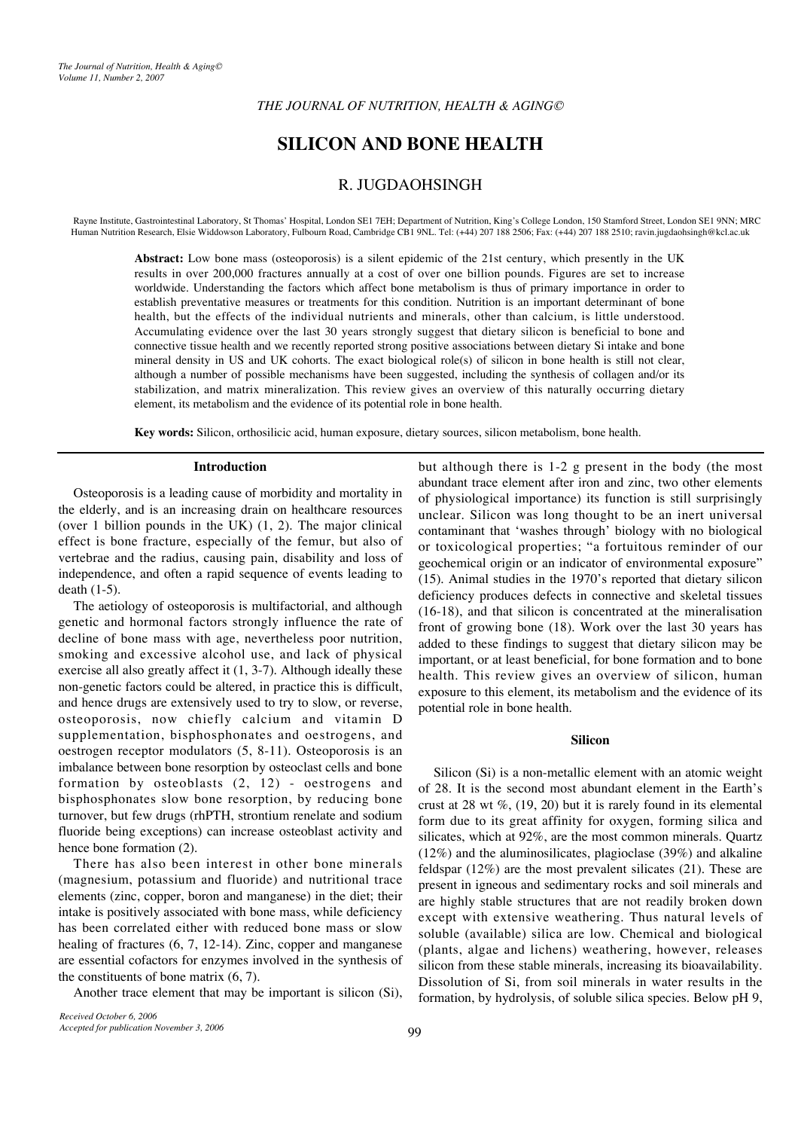# **SILICON AND BONE HEALTH**

# R. JUGDAOHSINGH

Rayne Institute, Gastrointestinal Laboratory, St Thomas' Hospital, London SE1 7EH; Department of Nutrition, King's College London, 150 Stamford Street, London SE1 9NN; MRC Human Nutrition Research, Elsie Widdowson Laboratory, Fulbourn Road, Cambridge CB1 9NL. Tel: (+44) 207 188 2506; Fax: (+44) 207 188 2510; ravin.jugdaohsingh@kcl.ac.uk

**Abstract:** Low bone mass (osteoporosis) is a silent epidemic of the 21st century, which presently in the UK results in over 200,000 fractures annually at a cost of over one billion pounds. Figures are set to increase worldwide. Understanding the factors which affect bone metabolism is thus of primary importance in order to establish preventative measures or treatments for this condition. Nutrition is an important determinant of bone health, but the effects of the individual nutrients and minerals, other than calcium, is little understood. Accumulating evidence over the last 30 years strongly suggest that dietary silicon is beneficial to bone and connective tissue health and we recently reported strong positive associations between dietary Si intake and bone mineral density in US and UK cohorts. The exact biological role(s) of silicon in bone health is still not clear, although a number of possible mechanisms have been suggested, including the synthesis of collagen and/or its stabilization, and matrix mineralization. This review gives an overview of this naturally occurring dietary element, its metabolism and the evidence of its potential role in bone health.

**Key words:** Silicon, orthosilicic acid, human exposure, dietary sources, silicon metabolism, bone health.

#### **Introduction**

Osteoporosis is a leading cause of morbidity and mortality in the elderly, and is an increasing drain on healthcare resources (over 1 billion pounds in the UK) (1, 2). The major clinical effect is bone fracture, especially of the femur, but also of vertebrae and the radius, causing pain, disability and loss of independence, and often a rapid sequence of events leading to death (1-5).

The aetiology of osteoporosis is multifactorial, and although genetic and hormonal factors strongly influence the rate of decline of bone mass with age, nevertheless poor nutrition, smoking and excessive alcohol use, and lack of physical exercise all also greatly affect it (1, 3-7). Although ideally these non-genetic factors could be altered, in practice this is difficult, and hence drugs are extensively used to try to slow, or reverse, osteoporosis, now chiefly calcium and vitamin D supplementation, bisphosphonates and oestrogens, and oestrogen receptor modulators (5, 8-11). Osteoporosis is an imbalance between bone resorption by osteoclast cells and bone formation by osteoblasts (2, 12) - oestrogens and bisphosphonates slow bone resorption, by reducing bone turnover, but few drugs (rhPTH, strontium renelate and sodium fluoride being exceptions) can increase osteoblast activity and hence bone formation (2).

There has also been interest in other bone minerals (magnesium, potassium and fluoride) and nutritional trace elements (zinc, copper, boron and manganese) in the diet; their intake is positively associated with bone mass, while deficiency has been correlated either with reduced bone mass or slow healing of fractures  $(6, 7, 12-14)$ . Zinc, copper and manganese are essential cofactors for enzymes involved in the synthesis of the constituents of bone matrix (6, 7).

Another trace element that may be important is silicon (Si),

*Received October 6, 2006 Accepted for publication November 3, 2006* but although there is 1-2 g present in the body (the most abundant trace element after iron and zinc, two other elements of physiological importance) its function is still surprisingly unclear. Silicon was long thought to be an inert universal contaminant that 'washes through' biology with no biological or toxicological properties; "a fortuitous reminder of our geochemical origin or an indicator of environmental exposure" (15). Animal studies in the 1970's reported that dietary silicon deficiency produces defects in connective and skeletal tissues (16-18), and that silicon is concentrated at the mineralisation front of growing bone (18). Work over the last 30 years has added to these findings to suggest that dietary silicon may be important, or at least beneficial, for bone formation and to bone health. This review gives an overview of silicon, human exposure to this element, its metabolism and the evidence of its potential role in bone health.

# **Silicon**

Silicon (Si) is a non-metallic element with an atomic weight of 28. It is the second most abundant element in the Earth's crust at 28 wt  $\%$ , (19, 20) but it is rarely found in its elemental form due to its great affinity for oxygen, forming silica and silicates, which at 92%, are the most common minerals. Quartz  $(12\%)$  and the aluminosilicates, plagioclase  $(39\%)$  and alkaline feldspar (12%) are the most prevalent silicates (21). These are present in igneous and sedimentary rocks and soil minerals and are highly stable structures that are not readily broken down except with extensive weathering. Thus natural levels of soluble (available) silica are low. Chemical and biological (plants, algae and lichens) weathering, however, releases silicon from these stable minerals, increasing its bioavailability. Dissolution of Si, from soil minerals in water results in the formation, by hydrolysis, of soluble silica species. Below pH 9,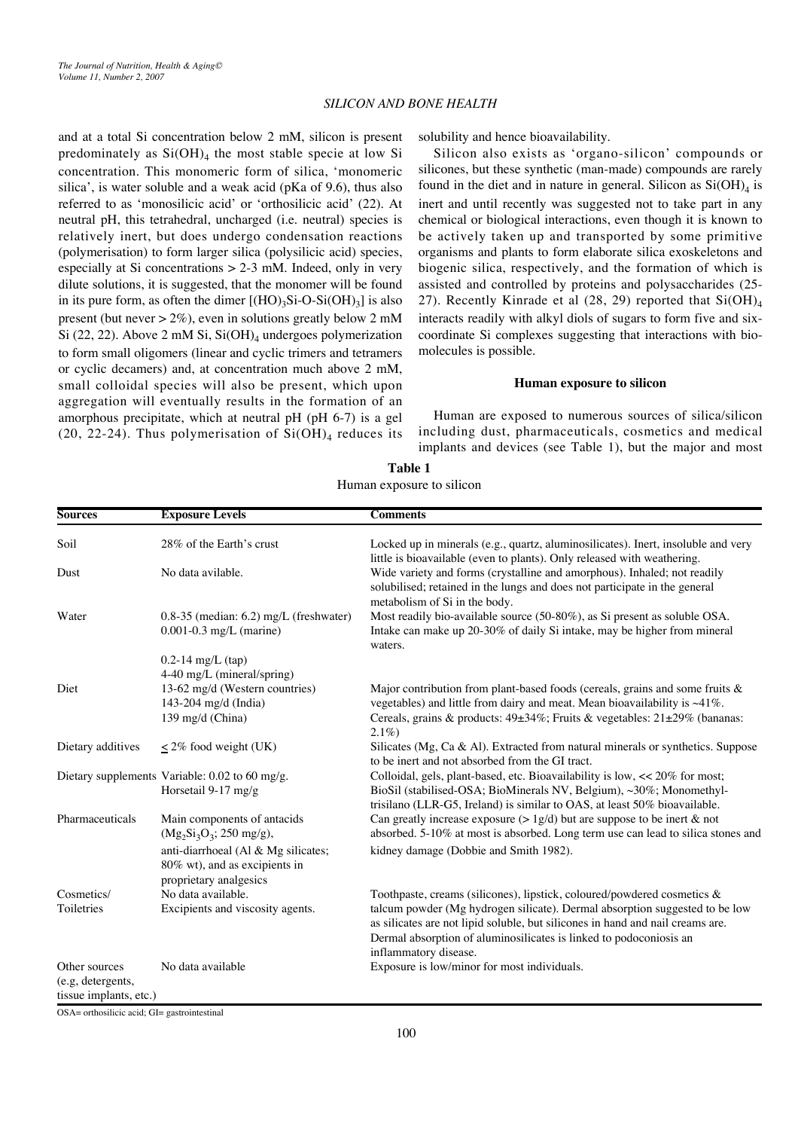and at a total Si concentration below 2 mM, silicon is present predominately as  $Si(OH)_4$  the most stable specie at low Si concentration. This monomeric form of silica, 'monomeric silica', is water soluble and a weak acid (pKa of 9.6), thus also referred to as 'monosilicic acid' or 'orthosilicic acid' (22). At neutral pH, this tetrahedral, uncharged (i.e. neutral) species is relatively inert, but does undergo condensation reactions (polymerisation) to form larger silica (polysilicic acid) species, especially at Si concentrations > 2-3 mM. Indeed, only in very dilute solutions, it is suggested, that the monomer will be found in its pure form, as often the dimer  $[(HO)_3Si-O-Si(OH)_3]$  is also present (but never  $> 2\%$ ), even in solutions greatly below 2 mM Si (22, 22). Above 2 mM Si,  $Si(OH)<sub>4</sub>$  undergoes polymerization to form small oligomers (linear and cyclic trimers and tetramers or cyclic decamers) and, at concentration much above 2 mM, small colloidal species will also be present, which upon aggregation will eventually results in the formation of an amorphous precipitate, which at neutral pH (pH 6-7) is a gel (20, 22-24). Thus polymerisation of  $Si(OH)_4$  reduces its solubility and hence bioavailability.

Silicon also exists as 'organo-silicon' compounds or silicones, but these synthetic (man-made) compounds are rarely found in the diet and in nature in general. Silicon as  $Si(OH)_4$  is inert and until recently was suggested not to take part in any chemical or biological interactions, even though it is known to be actively taken up and transported by some primitive organisms and plants to form elaborate silica exoskeletons and biogenic silica, respectively, and the formation of which is assisted and controlled by proteins and polysaccharides (25- 27). Recently Kinrade et al (28, 29) reported that  $Si(OH)_4$ interacts readily with alkyl diols of sugars to form five and sixcoordinate Si complexes suggesting that interactions with biomolecules is possible.

#### **Human exposure to silicon**

Human are exposed to numerous sources of silica/silicon including dust, pharmaceuticals, cosmetics and medical implants and devices (see Table 1), but the major and most

| <b>Table 1</b>            |
|---------------------------|
| Human exposure to silicon |

| <b>Sources</b>         | <b>Exposure Levels</b>                                                                         | <b>Comments</b>                                                                                                                                                                                                                 |
|------------------------|------------------------------------------------------------------------------------------------|---------------------------------------------------------------------------------------------------------------------------------------------------------------------------------------------------------------------------------|
| Soil                   | 28% of the Earth's crust                                                                       | Locked up in minerals (e.g., quartz, aluminosilicates). Inert, insoluble and very<br>little is bioavailable (even to plants). Only released with weathering.                                                                    |
| Dust                   | No data avilable.                                                                              | Wide variety and forms (crystalline and amorphous). Inhaled; not readily<br>solubilised; retained in the lungs and does not participate in the general<br>metabolism of Si in the body.                                         |
| Water                  | $0.8-35$ (median: 6.2) mg/L (freshwater)<br>$0.001 - 0.3$ mg/L (marine)                        | Most readily bio-available source (50-80%), as Si present as soluble OSA.<br>Intake can make up 20-30% of daily Si intake, may be higher from mineral<br>waters.                                                                |
|                        | $0.2 - 14$ mg/L (tap)                                                                          |                                                                                                                                                                                                                                 |
|                        | 4-40 mg/L (mineral/spring)                                                                     |                                                                                                                                                                                                                                 |
| Diet                   | 13-62 mg/d (Western countries)                                                                 | Major contribution from plant-based foods (cereals, grains and some fruits $\&$                                                                                                                                                 |
|                        | 143-204 mg/d (India)                                                                           | vegetables) and little from dairy and meat. Mean bioavailability is ~41%.                                                                                                                                                       |
|                        | 139 mg/d (China)                                                                               | Cereals, grains & products: $49\pm34\%$ ; Fruits & vegetables: $21\pm29\%$ (bananas:<br>$2.1\%$                                                                                                                                 |
| Dietary additives      | $\leq$ 2% food weight (UK)                                                                     | Silicates (Mg, Ca & Al). Extracted from natural minerals or synthetics. Suppose<br>to be inert and not absorbed from the GI tract.                                                                                              |
|                        | Dietary supplements Variable: 0.02 to 60 mg/g.<br>Horsetail 9-17 mg/g                          | Colloidal, gels, plant-based, etc. Bioavailability is low, << 20% for most;<br>BioSil (stabilised-OSA; BioMinerals NV, Belgium), ~30%; Monomethyl-<br>trisilano (LLR-G5, Ireland) is similar to OAS, at least 50% bioavailable. |
| Pharmaceuticals        | Main components of antacids<br>$(Mg_2Si_3O_3; 250 \text{ mg/g}),$                              | Can greatly increase exposure ( $> 1g/d$ ) but are suppose to be inert & not<br>absorbed. 5-10% at most is absorbed. Long term use can lead to silica stones and                                                                |
|                        | anti-diarrhoeal (Al & Mg silicates;<br>80% wt), and as excipients in<br>proprietary analgesics | kidney damage (Dobbie and Smith 1982).                                                                                                                                                                                          |
| Cosmetics/             | No data available.                                                                             | Toothpaste, creams (silicones), lipstick, coloured/powdered cosmetics &                                                                                                                                                         |
| Toiletries             | Excipients and viscosity agents.                                                               | talcum powder (Mg hydrogen silicate). Dermal absorption suggested to be low<br>as silicates are not lipid soluble, but silicones in hand and nail creams are.                                                                   |
|                        |                                                                                                | Dermal absorption of aluminosilicates is linked to podoconiosis an<br>inflammatory disease.                                                                                                                                     |
| Other sources          | No data available                                                                              | Exposure is low/minor for most individuals.                                                                                                                                                                                     |
| (e.g. detergents,      |                                                                                                |                                                                                                                                                                                                                                 |
| tissue implants, etc.) |                                                                                                |                                                                                                                                                                                                                                 |

OSA= orthosilicic acid; GI= gastrointestinal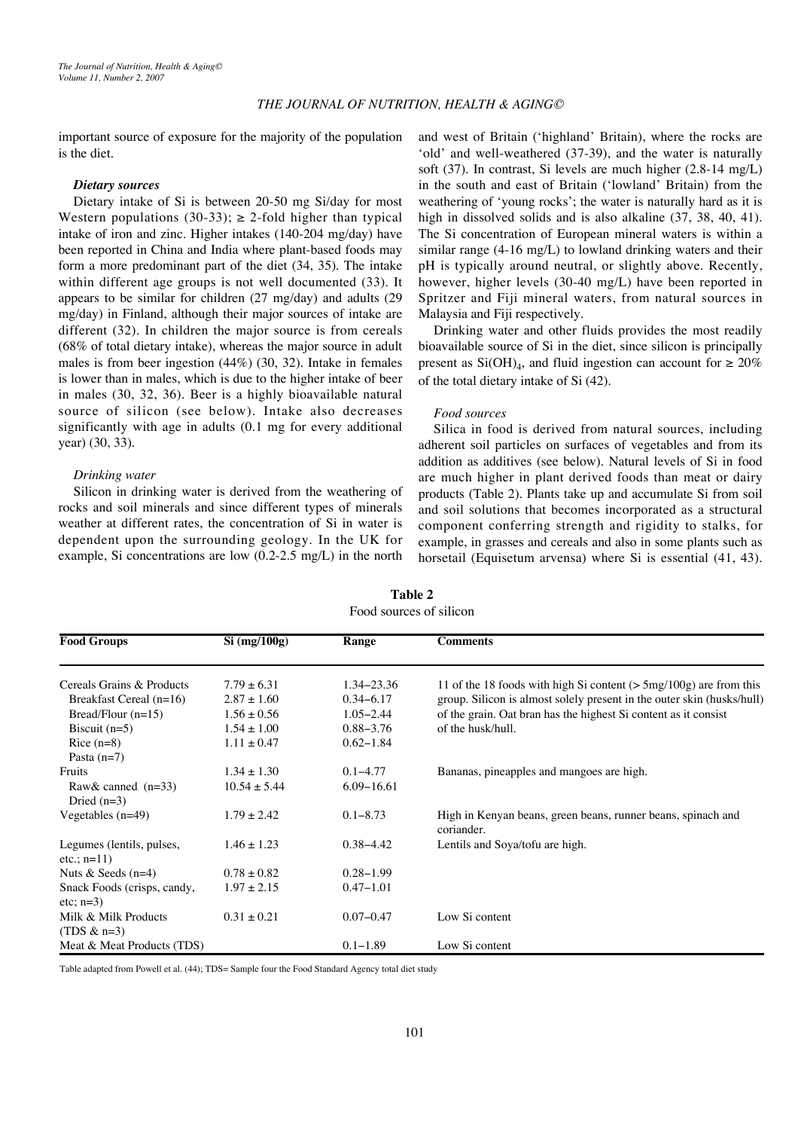important source of exposure for the majority of the population is the diet.

# *Dietary sources*

Dietary intake of Si is between 20-50 mg Si/day for most Western populations (30-33);  $\geq$  2-fold higher than typical intake of iron and zinc. Higher intakes (140-204 mg/day) have been reported in China and India where plant-based foods may form a more predominant part of the diet (34, 35). The intake within different age groups is not well documented (33). It appears to be similar for children (27 mg/day) and adults (29 mg/day) in Finland, although their major sources of intake are different (32). In children the major source is from cereals (68% of total dietary intake), whereas the major source in adult males is from beer ingestion (44%) (30, 32). Intake in females is lower than in males, which is due to the higher intake of beer in males (30, 32, 36). Beer is a highly bioavailable natural source of silicon (see below). Intake also decreases significantly with age in adults (0.1 mg for every additional year) (30, 33).

# *Drinking water*

Silicon in drinking water is derived from the weathering of rocks and soil minerals and since different types of minerals weather at different rates, the concentration of Si in water is dependent upon the surrounding geology. In the UK for example, Si concentrations are low (0.2-2.5 mg/L) in the north and west of Britain ('highland' Britain), where the rocks are 'old' and well-weathered (37-39), and the water is naturally soft (37). In contrast, Si levels are much higher (2.8-14 mg/L) in the south and east of Britain ('lowland' Britain) from the weathering of 'young rocks'; the water is naturally hard as it is high in dissolved solids and is also alkaline  $(37, 38, 40, 41)$ . The Si concentration of European mineral waters is within a similar range (4-16 mg/L) to lowland drinking waters and their pH is typically around neutral, or slightly above. Recently, however, higher levels (30-40 mg/L) have been reported in Spritzer and Fiji mineral waters, from natural sources in Malaysia and Fiji respectively.

Drinking water and other fluids provides the most readily bioavailable source of Si in the diet, since silicon is principally present as Si(OH)<sub>4</sub>, and fluid ingestion can account for  $\geq 20\%$ of the total dietary intake of Si (42).

#### *Food sources*

Silica in food is derived from natural sources, including adherent soil particles on surfaces of vegetables and from its addition as additives (see below). Natural levels of Si in food are much higher in plant derived foods than meat or dairy products (Table 2). Plants take up and accumulate Si from soil and soil solutions that becomes incorporated as a structural component conferring strength and rigidity to stalks, for example, in grasses and cereals and also in some plants such as horsetail (Equisetum arvensa) where Si is essential (41, 43).

| <b>Food Groups</b>          | $Si$ (mg/100g)   | Range          | <b>Comments</b>                                                            |
|-----------------------------|------------------|----------------|----------------------------------------------------------------------------|
|                             |                  |                |                                                                            |
| Cereals Grains & Products   | $7.79 \pm 6.31$  | $1.34 - 23.36$ | 11 of the 18 foods with high Si content $($ > 5mg/100g) are from this      |
| Breakfast Cereal $(n=16)$   | $2.87 \pm 1.60$  | $0.34 - 6.17$  | group. Silicon is almost solely present in the outer skin (husks/hull)     |
| Bread/Flour $(n=15)$        | $1.56 \pm 0.56$  | $1.05 - 2.44$  | of the grain. Oat bran has the highest Si content as it consist            |
| Biscuit $(n=5)$             | $1.54 \pm 1.00$  | $0.88 - 3.76$  | of the husk/hull.                                                          |
| $Rice (n=8)$                | $1.11 \pm 0.47$  | $0.62 - 1.84$  |                                                                            |
| Pasta $(n=7)$               |                  |                |                                                                            |
| Fruits                      | $1.34 \pm 1.30$  | $0.1 - 4.77$   | Bananas, pineapples and mangoes are high.                                  |
| Raw & canned $(n=33)$       | $10.54 \pm 5.44$ | $6.09 - 16.61$ |                                                                            |
| Dried $(n=3)$               |                  |                |                                                                            |
| Vegetables $(n=49)$         | $1.79 \pm 2.42$  | $0.1 - 8.73$   | High in Kenyan beans, green beans, runner beans, spinach and<br>coriander. |
| Legumes (lentils, pulses,   | $1.46 \pm 1.23$  | $0.38 - 4.42$  | Lentils and Soya/tofu are high.                                            |
| $etc.; n=11)$               |                  |                |                                                                            |
| Nuts & Seeds $(n=4)$        | $0.78 \pm 0.82$  | $0.28 - 1.99$  |                                                                            |
| Snack Foods (crisps, candy, | $1.97 \pm 2.15$  | $0.47 - 1.01$  |                                                                            |
| $etc; n=3)$                 |                  |                |                                                                            |
| Milk & Milk Products        | $0.31 \pm 0.21$  | $0.07 - 0.47$  | Low Si content                                                             |
| (TDS $\&$ n=3)              |                  |                |                                                                            |
| Meat & Meat Products (TDS)  |                  | $0.1 - 1.89$   | Low Si content                                                             |

**Table 2** Food sources of silicon

Table adapted from Powell et al. (44); TDS= Sample four the Food Standard Agency total diet study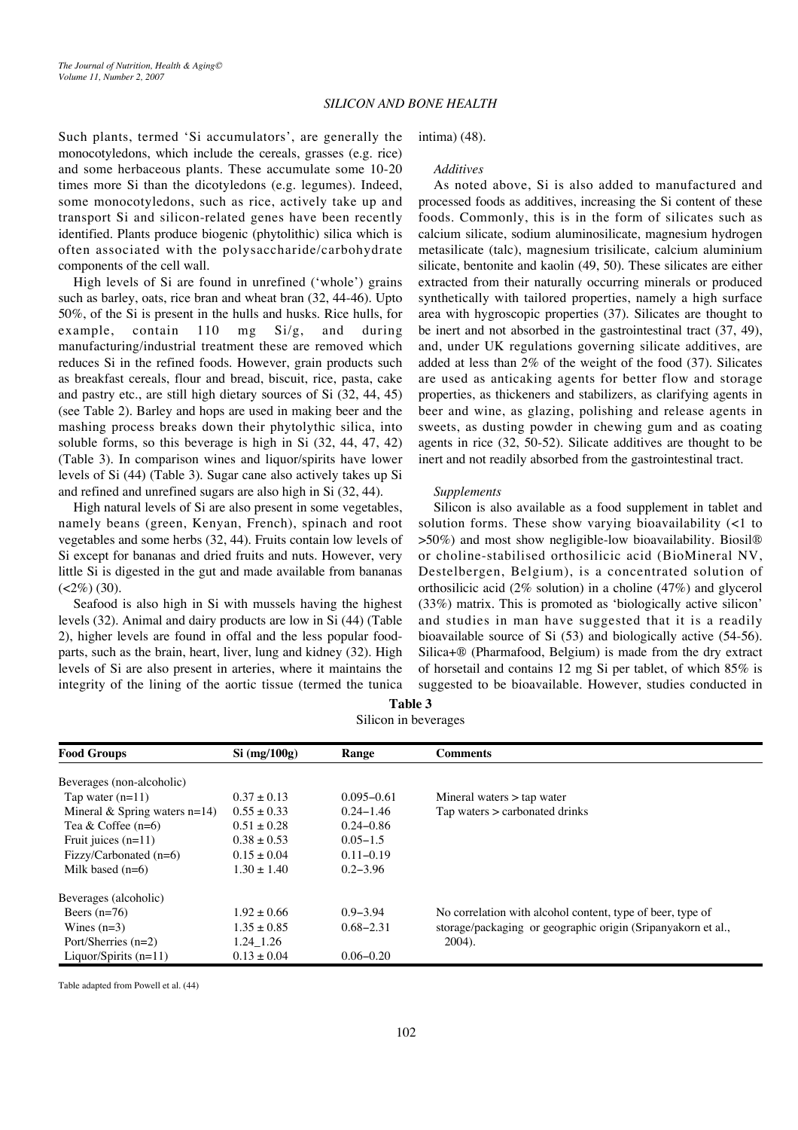Such plants, termed 'Si accumulators', are generally the monocotyledons, which include the cereals, grasses (e.g. rice) and some herbaceous plants. These accumulate some 10-20 times more Si than the dicotyledons (e.g. legumes). Indeed, some monocotyledons, such as rice, actively take up and transport Si and silicon-related genes have been recently identified. Plants produce biogenic (phytolithic) silica which is often associated with the polysaccharide/carbohydrate components of the cell wall.

High levels of Si are found in unrefined ('whole') grains such as barley, oats, rice bran and wheat bran (32, 44-46). Upto 50%, of the Si is present in the hulls and husks. Rice hulls, for example, contain 110 mg Si/g, and during manufacturing/industrial treatment these are removed which reduces Si in the refined foods. However, grain products such as breakfast cereals, flour and bread, biscuit, rice, pasta, cake and pastry etc., are still high dietary sources of Si (32, 44, 45) (see Table 2). Barley and hops are used in making beer and the mashing process breaks down their phytolythic silica, into soluble forms, so this beverage is high in Si (32, 44, 47, 42) (Table 3). In comparison wines and liquor/spirits have lower levels of Si (44) (Table 3). Sugar cane also actively takes up Si and refined and unrefined sugars are also high in Si (32, 44).

High natural levels of Si are also present in some vegetables, namely beans (green, Kenyan, French), spinach and root vegetables and some herbs (32, 44). Fruits contain low levels of Si except for bananas and dried fruits and nuts. However, very little Si is digested in the gut and made available from bananas  $(<2\%)$  (30).

Seafood is also high in Si with mussels having the highest levels (32). Animal and dairy products are low in Si (44) (Table 2), higher levels are found in offal and the less popular foodparts, such as the brain, heart, liver, lung and kidney (32). High levels of Si are also present in arteries, where it maintains the integrity of the lining of the aortic tissue (termed the tunica

# intima) (48).

### *Additives*

As noted above, Si is also added to manufactured and processed foods as additives, increasing the Si content of these foods. Commonly, this is in the form of silicates such as calcium silicate, sodium aluminosilicate, magnesium hydrogen metasilicate (talc), magnesium trisilicate, calcium aluminium silicate, bentonite and kaolin (49, 50). These silicates are either extracted from their naturally occurring minerals or produced synthetically with tailored properties, namely a high surface area with hygroscopic properties (37). Silicates are thought to be inert and not absorbed in the gastrointestinal tract (37, 49), and, under UK regulations governing silicate additives, are added at less than 2% of the weight of the food (37). Silicates are used as anticaking agents for better flow and storage properties, as thickeners and stabilizers, as clarifying agents in beer and wine, as glazing, polishing and release agents in sweets, as dusting powder in chewing gum and as coating agents in rice (32, 50-52). Silicate additives are thought to be inert and not readily absorbed from the gastrointestinal tract.

#### *Supplements*

Silicon is also available as a food supplement in tablet and solution forms. These show varying bioavailability (<1 to >50%) and most show negligible-low bioavailability. Biosil® or choline-stabilised orthosilicic acid (BioMineral NV, Destelbergen, Belgium), is a concentrated solution of orthosilicic acid (2% solution) in a choline (47%) and glycerol (33%) matrix. This is promoted as 'biologically active silicon' and studies in man have suggested that it is a readily bioavailable source of Si (53) and biologically active (54-56). Silica+® (Pharmafood, Belgium) is made from the dry extract of horsetail and contains 12 mg Si per tablet, of which 85% is suggested to be bioavailable. However, studies conducted in

| $_{\rm{511}}$ $_{\rm{611}}$ $_{\rm{62}}$ $_{\rm{64}}$ $_{\rm{65}}$ |                 |                |                                                              |
|--------------------------------------------------------------------|-----------------|----------------|--------------------------------------------------------------|
| <b>Food Groups</b>                                                 | $Si$ (mg/100g)  | Range          | <b>Comments</b>                                              |
| Beverages (non-alcoholic)                                          |                 |                |                                                              |
| Tap water $(n=11)$                                                 | $0.37 \pm 0.13$ | $0.095 - 0.61$ | Mineral waters $>$ tap water                                 |
| Mineral & Spring waters $n=14$ )                                   | $0.55 \pm 0.33$ | $0.24 - 1.46$  | Tap waters $>$ carbonated drinks                             |
| Tea & Coffee $(n=6)$                                               | $0.51 \pm 0.28$ | $0.24 - 0.86$  |                                                              |
| Fruit juices $(n=11)$                                              | $0.38 \pm 0.53$ | $0.05 - 1.5$   |                                                              |
| Fizzy/Carbonated $(n=6)$                                           | $0.15 \pm 0.04$ | $0.11 - 0.19$  |                                                              |
| Milk based $(n=6)$                                                 | $1.30 \pm 1.40$ | $0.2 - 3.96$   |                                                              |
| Beverages (alcoholic)                                              |                 |                |                                                              |
| Beers $(n=76)$                                                     | $1.92 \pm 0.66$ | $0.9 - 3.94$   | No correlation with alcohol content, type of beer, type of   |
| Wines $(n=3)$                                                      | $1.35 \pm 0.85$ | $0.68 - 2.31$  | storage/packaging or geographic origin (Sripanyakorn et al., |
| Port/Sherries $(n=2)$                                              | 1.24 1.26       |                | $2004$ ).                                                    |
| Liquor/Spirits $(n=11)$                                            | $0.13 \pm 0.04$ | $0.06 - 0.20$  |                                                              |

**Table 3** Silicon in beverages

Table adapted from Powell et al. (44)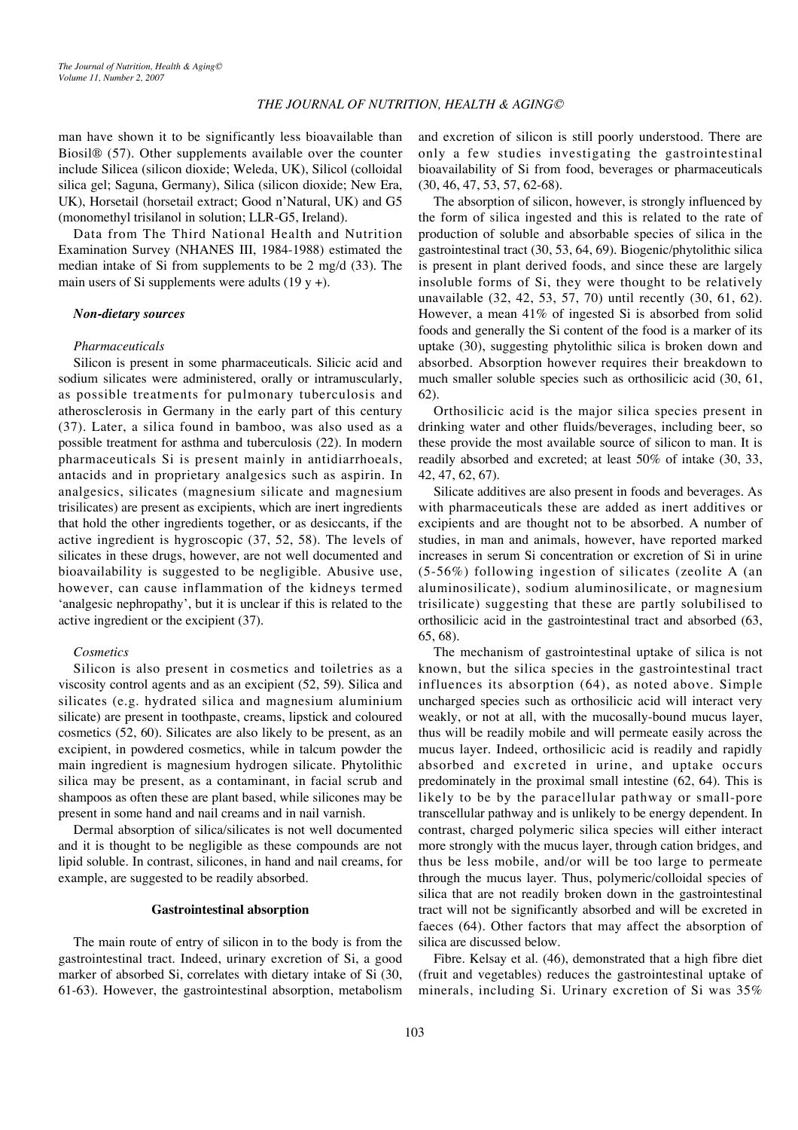man have shown it to be significantly less bioavailable than Biosil® (57). Other supplements available over the counter include Silicea (silicon dioxide; Weleda, UK), Silicol (colloidal silica gel; Saguna, Germany), Silica (silicon dioxide; New Era, UK), Horsetail (horsetail extract; Good n'Natural, UK) and G5 (monomethyl trisilanol in solution; LLR-G5, Ireland).

Data from The Third National Health and Nutrition Examination Survey (NHANES III, 1984-1988) estimated the median intake of Si from supplements to be 2 mg/d (33). The main users of Si supplements were adults  $(19 y +)$ .

#### *Non-dietary sources*

#### *Pharmaceuticals*

Silicon is present in some pharmaceuticals. Silicic acid and sodium silicates were administered, orally or intramuscularly, as possible treatments for pulmonary tuberculosis and atherosclerosis in Germany in the early part of this century (37). Later, a silica found in bamboo, was also used as a possible treatment for asthma and tuberculosis (22). In modern pharmaceuticals Si is present mainly in antidiarrhoeals, antacids and in proprietary analgesics such as aspirin. In analgesics, silicates (magnesium silicate and magnesium trisilicates) are present as excipients, which are inert ingredients that hold the other ingredients together, or as desiccants, if the active ingredient is hygroscopic (37, 52, 58). The levels of silicates in these drugs, however, are not well documented and bioavailability is suggested to be negligible. Abusive use, however, can cause inflammation of the kidneys termed 'analgesic nephropathy', but it is unclear if this is related to the active ingredient or the excipient (37).

### *Cosmetics*

Silicon is also present in cosmetics and toiletries as a viscosity control agents and as an excipient (52, 59). Silica and silicates (e.g. hydrated silica and magnesium aluminium silicate) are present in toothpaste, creams, lipstick and coloured cosmetics (52, 60). Silicates are also likely to be present, as an excipient, in powdered cosmetics, while in talcum powder the main ingredient is magnesium hydrogen silicate. Phytolithic silica may be present, as a contaminant, in facial scrub and shampoos as often these are plant based, while silicones may be present in some hand and nail creams and in nail varnish.

Dermal absorption of silica/silicates is not well documented and it is thought to be negligible as these compounds are not lipid soluble. In contrast, silicones, in hand and nail creams, for example, are suggested to be readily absorbed.

#### **Gastrointestinal absorption**

The main route of entry of silicon in to the body is from the gastrointestinal tract. Indeed, urinary excretion of Si, a good marker of absorbed Si, correlates with dietary intake of Si (30, 61-63). However, the gastrointestinal absorption, metabolism

and excretion of silicon is still poorly understood. There are only a few studies investigating the gastrointestinal bioavailability of Si from food, beverages or pharmaceuticals (30, 46, 47, 53, 57, 62-68).

The absorption of silicon, however, is strongly influenced by the form of silica ingested and this is related to the rate of production of soluble and absorbable species of silica in the gastrointestinal tract (30, 53, 64, 69). Biogenic/phytolithic silica is present in plant derived foods, and since these are largely insoluble forms of Si, they were thought to be relatively unavailable (32, 42, 53, 57, 70) until recently (30, 61, 62). However, a mean 41% of ingested Si is absorbed from solid foods and generally the Si content of the food is a marker of its uptake (30), suggesting phytolithic silica is broken down and absorbed. Absorption however requires their breakdown to much smaller soluble species such as orthosilicic acid (30, 61, 62).

Orthosilicic acid is the major silica species present in drinking water and other fluids/beverages, including beer, so these provide the most available source of silicon to man. It is readily absorbed and excreted; at least 50% of intake (30, 33, 42, 47, 62, 67).

Silicate additives are also present in foods and beverages. As with pharmaceuticals these are added as inert additives or excipients and are thought not to be absorbed. A number of studies, in man and animals, however, have reported marked increases in serum Si concentration or excretion of Si in urine (5-56%) following ingestion of silicates (zeolite A (an aluminosilicate), sodium aluminosilicate, or magnesium trisilicate) suggesting that these are partly solubilised to orthosilicic acid in the gastrointestinal tract and absorbed (63, 65, 68).

The mechanism of gastrointestinal uptake of silica is not known, but the silica species in the gastrointestinal tract influences its absorption (64), as noted above. Simple uncharged species such as orthosilicic acid will interact very weakly, or not at all, with the mucosally-bound mucus layer, thus will be readily mobile and will permeate easily across the mucus layer. Indeed, orthosilicic acid is readily and rapidly absorbed and excreted in urine, and uptake occurs predominately in the proximal small intestine (62, 64). This is likely to be by the paracellular pathway or small-pore transcellular pathway and is unlikely to be energy dependent. In contrast, charged polymeric silica species will either interact more strongly with the mucus layer, through cation bridges, and thus be less mobile, and/or will be too large to permeate through the mucus layer. Thus, polymeric/colloidal species of silica that are not readily broken down in the gastrointestinal tract will not be significantly absorbed and will be excreted in faeces (64). Other factors that may affect the absorption of silica are discussed below.

Fibre. Kelsay et al. (46), demonstrated that a high fibre diet (fruit and vegetables) reduces the gastrointestinal uptake of minerals, including Si. Urinary excretion of Si was 35%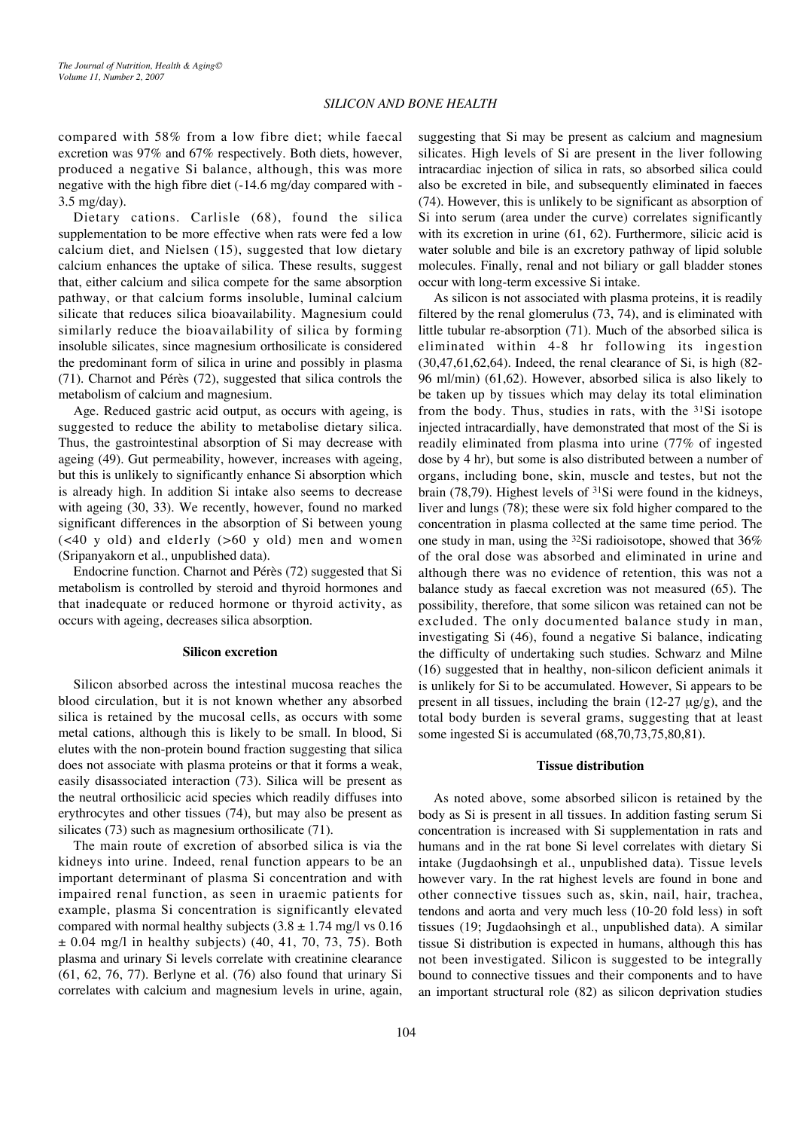compared with 58% from a low fibre diet; while faecal excretion was 97% and 67% respectively. Both diets, however, produced a negative Si balance, although, this was more negative with the high fibre diet (-14.6 mg/day compared with - 3.5 mg/day).

Dietary cations. Carlisle (68), found the silica supplementation to be more effective when rats were fed a low calcium diet, and Nielsen (15), suggested that low dietary calcium enhances the uptake of silica. These results, suggest that, either calcium and silica compete for the same absorption pathway, or that calcium forms insoluble, luminal calcium silicate that reduces silica bioavailability. Magnesium could similarly reduce the bioavailability of silica by forming insoluble silicates, since magnesium orthosilicate is considered the predominant form of silica in urine and possibly in plasma (71). Charnot and Pérès (72), suggested that silica controls the metabolism of calcium and magnesium.

Age. Reduced gastric acid output, as occurs with ageing, is suggested to reduce the ability to metabolise dietary silica. Thus, the gastrointestinal absorption of Si may decrease with ageing (49). Gut permeability, however, increases with ageing, but this is unlikely to significantly enhance Si absorption which is already high. In addition Si intake also seems to decrease with ageing (30, 33). We recently, however, found no marked significant differences in the absorption of Si between young (<40 y old) and elderly (>60 y old) men and women (Sripanyakorn et al., unpublished data).

Endocrine function. Charnot and Pérès (72) suggested that Si metabolism is controlled by steroid and thyroid hormones and that inadequate or reduced hormone or thyroid activity, as occurs with ageing, decreases silica absorption.

# **Silicon excretion**

Silicon absorbed across the intestinal mucosa reaches the blood circulation, but it is not known whether any absorbed silica is retained by the mucosal cells, as occurs with some metal cations, although this is likely to be small. In blood, Si elutes with the non-protein bound fraction suggesting that silica does not associate with plasma proteins or that it forms a weak, easily disassociated interaction (73). Silica will be present as the neutral orthosilicic acid species which readily diffuses into erythrocytes and other tissues (74), but may also be present as silicates (73) such as magnesium orthosilicate (71).

The main route of excretion of absorbed silica is via the kidneys into urine. Indeed, renal function appears to be an important determinant of plasma Si concentration and with impaired renal function, as seen in uraemic patients for example, plasma Si concentration is significantly elevated compared with normal healthy subjects  $(3.8 \pm 1.74 \text{ mg/l vs } 0.16)$  $\pm$  0.04 mg/l in healthy subjects) (40, 41, 70, 73, 75). Both plasma and urinary Si levels correlate with creatinine clearance (61, 62, 76, 77). Berlyne et al. (76) also found that urinary Si correlates with calcium and magnesium levels in urine, again,

suggesting that Si may be present as calcium and magnesium silicates. High levels of Si are present in the liver following intracardiac injection of silica in rats, so absorbed silica could also be excreted in bile, and subsequently eliminated in faeces (74). However, this is unlikely to be significant as absorption of Si into serum (area under the curve) correlates significantly with its excretion in urine (61, 62). Furthermore, silicic acid is water soluble and bile is an excretory pathway of lipid soluble molecules. Finally, renal and not biliary or gall bladder stones occur with long-term excessive Si intake.

As silicon is not associated with plasma proteins, it is readily filtered by the renal glomerulus (73, 74), and is eliminated with little tubular re-absorption (71). Much of the absorbed silica is eliminated within 4-8 hr following its ingestion (30,47,61,62,64). Indeed, the renal clearance of Si, is high (82- 96 ml/min) (61,62). However, absorbed silica is also likely to be taken up by tissues which may delay its total elimination from the body. Thus, studies in rats, with the 31Si isotope injected intracardially, have demonstrated that most of the Si is readily eliminated from plasma into urine (77% of ingested dose by 4 hr), but some is also distributed between a number of organs, including bone, skin, muscle and testes, but not the brain (78,79). Highest levels of 31Si were found in the kidneys, liver and lungs (78); these were six fold higher compared to the concentration in plasma collected at the same time period. The one study in man, using the 32Si radioisotope, showed that 36% of the oral dose was absorbed and eliminated in urine and although there was no evidence of retention, this was not a balance study as faecal excretion was not measured (65). The possibility, therefore, that some silicon was retained can not be excluded. The only documented balance study in man, investigating Si (46), found a negative Si balance, indicating the difficulty of undertaking such studies. Schwarz and Milne (16) suggested that in healthy, non-silicon deficient animals it is unlikely for Si to be accumulated. However, Si appears to be present in all tissues, including the brain  $(12-27 \mu g/g)$ , and the total body burden is several grams, suggesting that at least some ingested Si is accumulated (68,70,73,75,80,81).

#### **Tissue distribution**

As noted above, some absorbed silicon is retained by the body as Si is present in all tissues. In addition fasting serum Si concentration is increased with Si supplementation in rats and humans and in the rat bone Si level correlates with dietary Si intake (Jugdaohsingh et al., unpublished data). Tissue levels however vary. In the rat highest levels are found in bone and other connective tissues such as, skin, nail, hair, trachea, tendons and aorta and very much less (10-20 fold less) in soft tissues (19; Jugdaohsingh et al., unpublished data). A similar tissue Si distribution is expected in humans, although this has not been investigated. Silicon is suggested to be integrally bound to connective tissues and their components and to have an important structural role (82) as silicon deprivation studies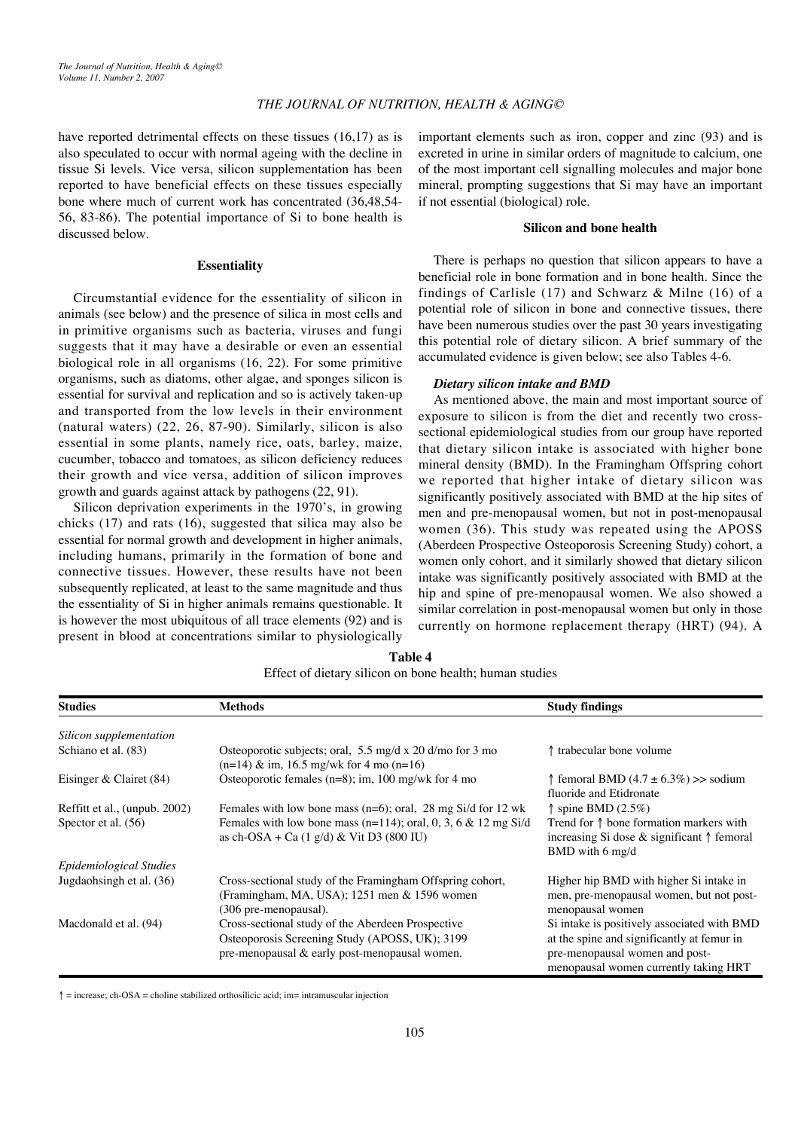have reported detrimental effects on these tissues (16,17) as is also speculated to occur with normal ageing with the decline in tissue Si levels. Vice versa, silicon supplementation has been reported to have beneficial effects on these tissues especially bone where much of current work has concentrated (36,48,54- 56, 83-86). The potential importance of Si to bone health is discussed below.

#### **Essentiality**

Circumstantial evidence for the essentiality of silicon in animals (see below) and the presence of silica in most cells and in primitive organisms such as bacteria, viruses and fungi suggests that it may have a desirable or even an essential biological role in all organisms (16, 22). For some primitive organisms, such as diatoms, other algae, and sponges silicon is essential for survival and replication and so is actively taken-up and transported from the low levels in their environment (natural waters) (22, 26, 87-90). Similarly, silicon is also essential in some plants, namely rice, oats, barley, maize, cucumber, tobacco and tomatoes, as silicon deficiency reduces their growth and vice versa, addition of silicon improves growth and guards against attack by pathogens (22, 91).

Silicon deprivation experiments in the 1970's, in growing chicks (17) and rats (16), suggested that silica may also be essential for normal growth and development in higher animals, including humans, primarily in the formation of bone and connective tissues. However, these results have not been subsequently replicated, at least to the same magnitude and thus the essentiality of Si in higher animals remains questionable. It is however the most ubiquitous of all trace elements (92) and is present in blood at concentrations similar to physiologically

important elements such as iron, copper and zinc (93) and is excreted in urine in similar orders of magnitude to calcium, one of the most important cell signalling molecules and major bone mineral, prompting suggestions that Si may have an important if not essential (biological) role.

# **Silicon and bone health**

There is perhaps no question that silicon appears to have a beneficial role in bone formation and in bone health. Since the findings of Carlisle (17) and Schwarz & Milne (16) of a potential role of silicon in bone and connective tissues, there have been numerous studies over the past 30 years investigating this potential role of dietary silicon. A brief summary of the accumulated evidence is given below; see also Tables 4-6.

#### *Dietary silicon intake and BMD*

As mentioned above, the main and most important source of exposure to silicon is from the diet and recently two crosssectional epidemiological studies from our group have reported that dietary silicon intake is associated with higher bone mineral density (BMD). In the Framingham Offspring cohort we reported that higher intake of dietary silicon was significantly positively associated with BMD at the hip sites of men and pre-menopausal women, but not in post-menopausal women (36). This study was repeated using the APOSS (Aberdeen Prospective Osteoporosis Screening Study) cohort, a women only cohort, and it similarly showed that dietary silicon intake was significantly positively associated with BMD at the hip and spine of pre-menopausal women. We also showed a similar correlation in post-menopausal women but only in those currently on hormone replacement therapy (HRT) (94). A

menopausal women currently taking HRT

| <b>Studies</b>                                       | <b>Methods</b>                                                                                                                                                                           | <b>Study findings</b>                                                                                                                                        |
|------------------------------------------------------|------------------------------------------------------------------------------------------------------------------------------------------------------------------------------------------|--------------------------------------------------------------------------------------------------------------------------------------------------------------|
| Silicon supplementation                              |                                                                                                                                                                                          |                                                                                                                                                              |
| Schiano et al. (83)                                  | Osteoporotic subjects; oral, 5.5 mg/d x 20 d/mo for 3 mo<br>$(n=14)$ & im, 16.5 mg/wk for 4 mo $(n=16)$                                                                                  | ↑ trabecular bone volume                                                                                                                                     |
| Eisinger & Clairet (84)                              | Osteoporotic females $(n=8)$ ; im, 100 mg/wk for 4 mo                                                                                                                                    | f femoral BMD $(4.7 \pm 6.3\%)$ >> sodium<br>fluoride and Etidronate                                                                                         |
| Reffitt et al., (unpub. 2002)<br>Spector et al. (56) | Females with low bone mass ( $n=6$ ); oral, 28 mg Si/d for 12 wk<br>Females with low bone mass (n=114); oral, 0, 3, 6 & 12 mg Si/d<br>as ch-OSA + Ca $(1 \text{ g/d})$ & Vit D3 (800 IU) | $\uparrow$ spine BMD (2.5%)<br>Trend for $\uparrow$ bone formation markers with<br>increasing Si dose $\&$ significant $\uparrow$ femoral<br>BMD with 6 mg/d |
| Epidemiological Studies                              |                                                                                                                                                                                          |                                                                                                                                                              |
| Jugdaohsingh et al. (36)                             | Cross-sectional study of the Framingham Offspring cohort,<br>(Framingham, MA, USA); 1251 men & 1596 women<br>(306 pre-menopausal).                                                       | Higher hip BMD with higher Si intake in<br>men, pre-menopausal women, but not post-<br>menopausal women                                                      |
| Macdonald et al. (94)                                | Cross-sectional study of the Aberdeen Prospective<br>Osteoporosis Screening Study (APOSS, UK); 3199<br>pre-menopausal & early post-menopausal women.                                     | Si intake is positively associated with BMD<br>at the spine and significantly at femur in<br>pre-menopausal women and post-                                  |

**Table 4**

 $\uparrow$  = increase; ch-OSA = choline stabilized orthosilicic acid; im= intramuscular injection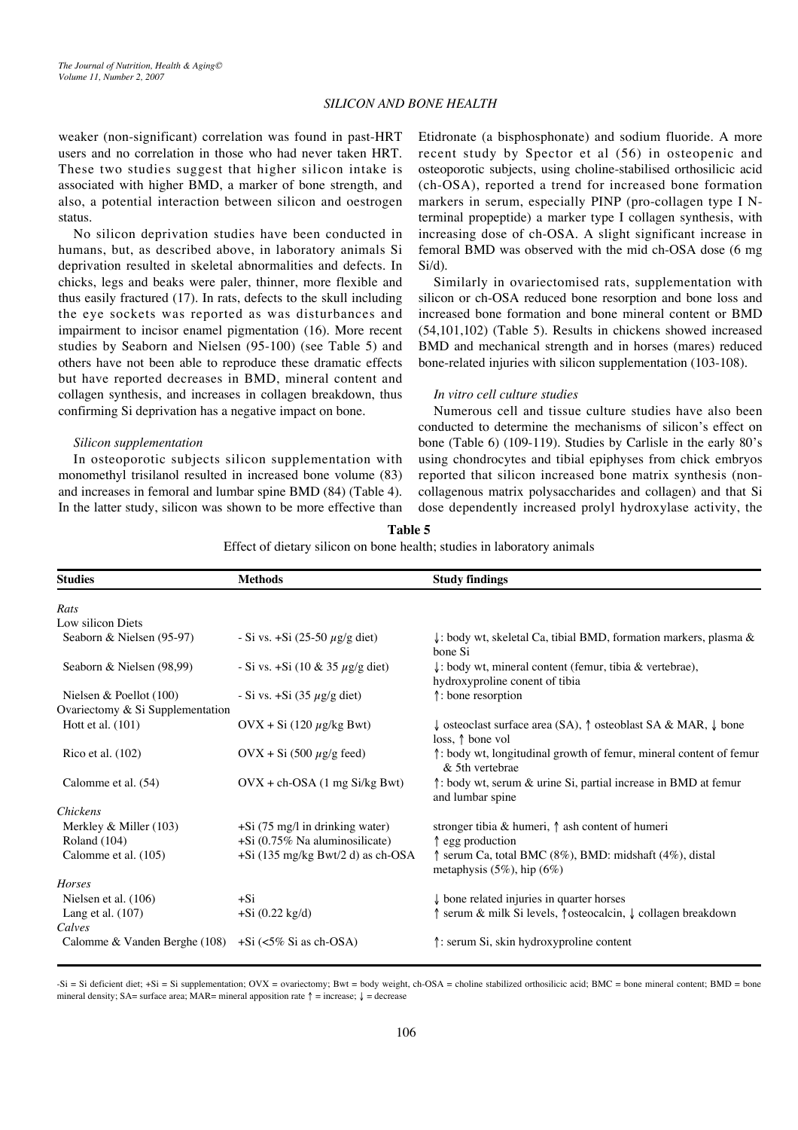weaker (non-significant) correlation was found in past-HRT users and no correlation in those who had never taken HRT. These two studies suggest that higher silicon intake is associated with higher BMD, a marker of bone strength, and also, a potential interaction between silicon and oestrogen status.

No silicon deprivation studies have been conducted in humans, but, as described above, in laboratory animals Si deprivation resulted in skeletal abnormalities and defects. In chicks, legs and beaks were paler, thinner, more flexible and thus easily fractured (17). In rats, defects to the skull including the eye sockets was reported as was disturbances and impairment to incisor enamel pigmentation (16). More recent studies by Seaborn and Nielsen (95-100) (see Table 5) and others have not been able to reproduce these dramatic effects but have reported decreases in BMD, mineral content and collagen synthesis, and increases in collagen breakdown, thus confirming Si deprivation has a negative impact on bone.

#### *Silicon supplementation*

In osteoporotic subjects silicon supplementation with monomethyl trisilanol resulted in increased bone volume (83) and increases in femoral and lumbar spine BMD (84) (Table 4). In the latter study, silicon was shown to be more effective than Etidronate (a bisphosphonate) and sodium fluoride. A more recent study by Spector et al (56) in osteopenic and osteoporotic subjects, using choline-stabilised orthosilicic acid (ch-OSA), reported a trend for increased bone formation markers in serum, especially PINP (pro-collagen type I Nterminal propeptide) a marker type I collagen synthesis, with increasing dose of ch-OSA. A slight significant increase in femoral BMD was observed with the mid ch-OSA dose (6 mg Si/d).

Similarly in ovariectomised rats, supplementation with silicon or ch-OSA reduced bone resorption and bone loss and increased bone formation and bone mineral content or BMD (54,101,102) (Table 5). Results in chickens showed increased BMD and mechanical strength and in horses (mares) reduced bone-related injuries with silicon supplementation (103-108).

#### *In vitro cell culture studies*

Numerous cell and tissue culture studies have also been conducted to determine the mechanisms of silicon's effect on bone (Table 6) (109-119). Studies by Carlisle in the early 80's using chondrocytes and tibial epiphyses from chick embryos reported that silicon increased bone matrix synthesis (noncollagenous matrix polysaccharides and collagen) and that Si dose dependently increased prolyl hydroxylase activity, the

#### **Table 5**

Effect of dietary silicon on bone health; studies in laboratory animals

| <b>Studies</b>                                             | <b>Methods</b>                                                        | <b>Study findings</b>                                                                                                     |
|------------------------------------------------------------|-----------------------------------------------------------------------|---------------------------------------------------------------------------------------------------------------------------|
| Rats                                                       |                                                                       |                                                                                                                           |
| Low silicon Diets                                          |                                                                       |                                                                                                                           |
| Seaborn & Nielsen (95-97)                                  | - Si vs. $+Si(25-50 \mu g/g \text{ diet})$                            | $\downarrow$ : body wt, skeletal Ca, tibial BMD, formation markers, plasma &<br>bone Si                                   |
| Seaborn & Nielsen (98,99)                                  | - Si vs. + Si (10 & 35 $\mu$ g/g diet)                                | $\downarrow$ : body wt, mineral content (femur, tibia & vertebrae),<br>hydroxyproline conent of tibia                     |
| Nielsen & Poellot $(100)$                                  | - Si vs. $+Si(35 \mu g/g$ diet)                                       | t: bone resorption                                                                                                        |
| Ovariectomy & Si Supplementation                           |                                                                       |                                                                                                                           |
| Hott et al. $(101)$                                        | $\text{OVX} + \text{Si} (120 \mu\text{g/kg} \text{Bwt})$              | $\downarrow$ osteoclast surface area (SA), $\uparrow$ osteoblast SA & MAR, $\downarrow$ bone<br>loss, $\uparrow$ bone vol |
| Rico et al. (102)                                          | $OVX + Si (500 \mu g/g feed)$                                         | theory: body wt, longitudinal growth of femur, mineral content of femur<br>& 5th vertebrae                                |
| Calomme et al. (54)                                        | $OVX + ch-OSA$ (1 mg Si/kg Bwt)                                       | $\uparrow$ : body wt, serum & urine Si, partial increase in BMD at femur<br>and lumbar spine                              |
| <i>Chickens</i>                                            |                                                                       |                                                                                                                           |
| Merkley $&$ Miller (103)<br>Roland (104)                   | $+Si$ (75 mg/l in drinking water)<br>$+Si$ (0.75% Na aluminosilicate) | stronger tibia & humeri, $\uparrow$ ash content of humeri<br>↑ egg production                                             |
| Calomme et al. (105)                                       | $+Si$ (135 mg/kg Bwt/2 d) as ch-OSA                                   | $\uparrow$ serum Ca, total BMC (8%), BMD: midshaft (4%), distal<br>metaphysis $(5\%)$ , hip $(6\%)$                       |
| Horses                                                     |                                                                       |                                                                                                                           |
| Nielsen et al. (106)                                       | $+Si$                                                                 | $\downarrow$ bone related injuries in quarter horses                                                                      |
| Lang et al. $(107)$                                        | $+Si (0.22 kg/d)$                                                     | serum & milk Si levels, ↑ osteocalcin, ↓ collagen breakdown                                                               |
| Calves                                                     |                                                                       |                                                                                                                           |
| Calomme & Vanden Berghe (108) $+Si \leq 5\% Si$ as ch-OSA) |                                                                       | ↑: serum Si, skin hydroxyproline content                                                                                  |

 $-Si = Si$  deficient diet;  $+Si = Si$  supplementation;  $Ovx = ovari$  ectomy;  $Bwt = body$  weight, ch-OSA = choline stabilized orthosilicic acid; BMC = bone mineral content; BMD = bone mineral density; SA= surface area; MAR= mineral apposition rate  $\uparrow$  = increase;  $\downarrow$  = decrease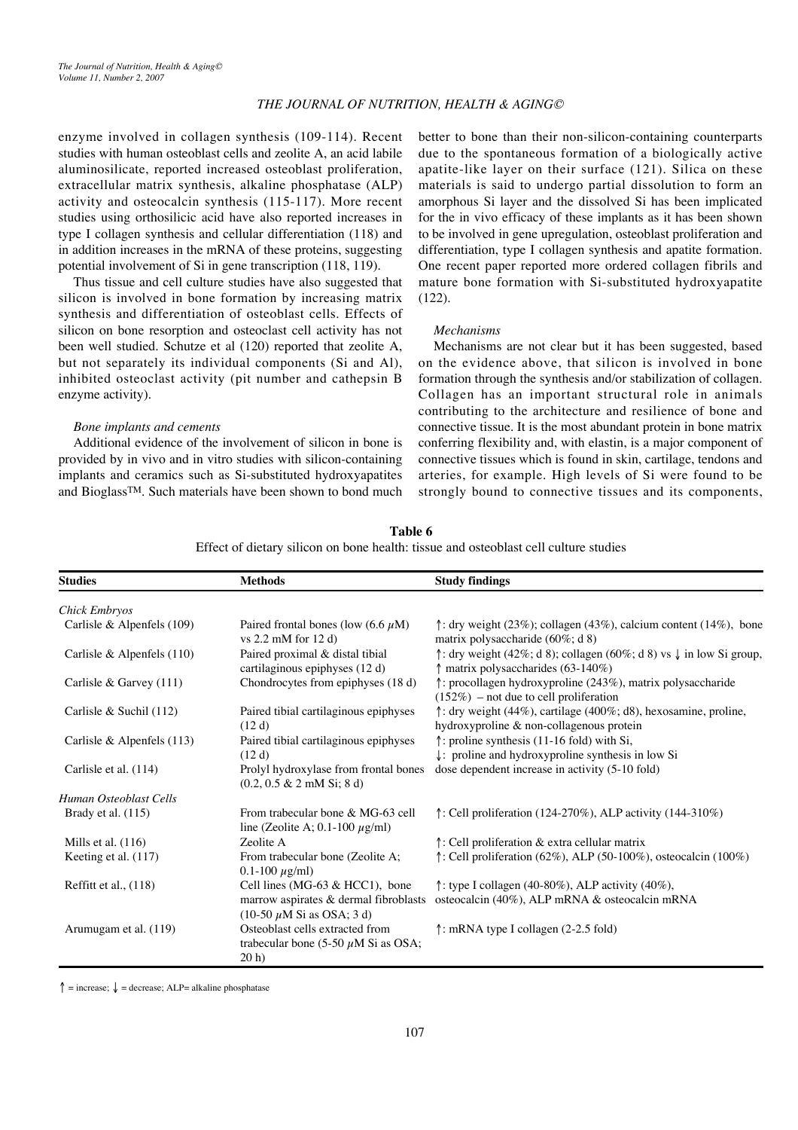enzyme involved in collagen synthesis (109-114). Recent studies with human osteoblast cells and zeolite A, an acid labile aluminosilicate, reported increased osteoblast proliferation, extracellular matrix synthesis, alkaline phosphatase (ALP) activity and osteocalcin synthesis (115-117). More recent studies using orthosilicic acid have also reported increases in type I collagen synthesis and cellular differentiation (118) and in addition increases in the mRNA of these proteins, suggesting potential involvement of Si in gene transcription (118, 119).

Thus tissue and cell culture studies have also suggested that silicon is involved in bone formation by increasing matrix synthesis and differentiation of osteoblast cells. Effects of silicon on bone resorption and osteoclast cell activity has not been well studied. Schutze et al (120) reported that zeolite A, but not separately its individual components (Si and Al), inhibited osteoclast activity (pit number and cathepsin B enzyme activity).

#### *Bone implants and cements*

Additional evidence of the involvement of silicon in bone is provided by in vivo and in vitro studies with silicon-containing implants and ceramics such as Si-substituted hydroxyapatites and BioglassTM. Such materials have been shown to bond much

better to bone than their non-silicon-containing counterparts due to the spontaneous formation of a biologically active apatite-like layer on their surface (121). Silica on these materials is said to undergo partial dissolution to form an amorphous Si layer and the dissolved Si has been implicated for the in vivo efficacy of these implants as it has been shown to be involved in gene upregulation, osteoblast proliferation and differentiation, type I collagen synthesis and apatite formation. One recent paper reported more ordered collagen fibrils and mature bone formation with Si-substituted hydroxyapatite (122).

# *Mechanisms*

Mechanisms are not clear but it has been suggested, based on the evidence above, that silicon is involved in bone formation through the synthesis and/or stabilization of collagen. Collagen has an important structural role in animals contributing to the architecture and resilience of bone and connective tissue. It is the most abundant protein in bone matrix conferring flexibility and, with elastin, is a major component of connective tissues which is found in skin, cartilage, tendons and arteries, for example. High levels of Si were found to be strongly bound to connective tissues and its components,

| <b>Studies</b>               | <b>Methods</b>                                                                         | <b>Study findings</b>                                                                                                 |
|------------------------------|----------------------------------------------------------------------------------------|-----------------------------------------------------------------------------------------------------------------------|
| <b>Chick Embryos</b>         |                                                                                        |                                                                                                                       |
| Carlisle & Alpenfels $(109)$ | Paired frontal bones (low $(6.6 \mu M)$ )<br>vs $2.2$ mM for $12$ d)                   | $\uparrow$ : dry weight (23%); collagen (43%), calcium content (14%), bone<br>matrix polysaccharide (60%; d 8)        |
| Carlisle & Alpenfels $(110)$ | Paired proximal & distal tibial<br>cartilaginous epiphyses (12 d)                      | ↑: dry weight (42%; d 8); collagen (60%; d 8) vs $\downarrow$ in low Si group,<br>matrix polysaccharides (63-140%)    |
| Carlisle & Garvey $(111)$    | Chondrocytes from epiphyses (18 d)                                                     | ↑: procollagen hydroxyproline (243%), matrix polysaccharide<br>$(152\%)$ – not due to cell proliferation              |
| Carlisle & Suchil (112)      | Paired tibial cartilaginous epiphyses<br>(12 d)                                        | ↑: dry weight (44%), cartilage (400%; d8), hexosamine, proline,<br>hydroxyproline & non-collagenous protein           |
| Carlisle & Alpenfels $(113)$ | Paired tibial cartilaginous epiphyses<br>(12d)                                         | $\uparrow$ : proline synthesis (11-16 fold) with Si,<br>$\downarrow$ : proline and hydroxyproline synthesis in low Si |
| Carlisle et al. (114)        | Prolyl hydroxylase from frontal bones<br>$(0.2, 0.5 \& 2 \text{ mM Si}; 8 \text{ d})$  | dose dependent increase in activity (5-10 fold)                                                                       |
| Human Osteoblast Cells       |                                                                                        |                                                                                                                       |
| Brady et al. $(115)$         | From trabecular bone & MG-63 cell<br>line (Zeolite A; 0.1-100 $\mu$ g/ml)              | $\uparrow$ : Cell proliferation (124-270%), ALP activity (144-310%)                                                   |
| Mills et al. $(116)$         | Zeolite A                                                                              | ↑: Cell proliferation & extra cellular matrix                                                                         |
| Keeting et al. (117)         | From trabecular bone (Zeolite A;<br>$0.1 - 100 \mu g/ml$                               | ↑: Cell proliferation (62%), ALP (50-100%), osteocalcin (100%)                                                        |
| Reffitt et al., $(118)$      | Cell lines (MG-63 $& HCC1$ ), bone                                                     | $\uparrow$ : type I collagen (40-80%), ALP activity (40%),                                                            |
|                              | marrow aspirates & dermal fibroblasts<br>$(10-50 \mu M)$ Si as OSA; 3 d)               | osteocalcin (40%), ALP mRNA & osteocalcin mRNA                                                                        |
| Arumugam et al. (119)        | Osteoblast cells extracted from<br>trabecular bone (5-50 $\mu$ M Si as OSA;<br>$20h$ ) | $\uparrow$ : mRNA type I collagen (2-2.5 fold)                                                                        |

**Table 6** Effect of dietary silicon on bone health: tissue and osteoblast cell culture studies

↑ = increase; ↓ = decrease; ALP= alkaline phosphatase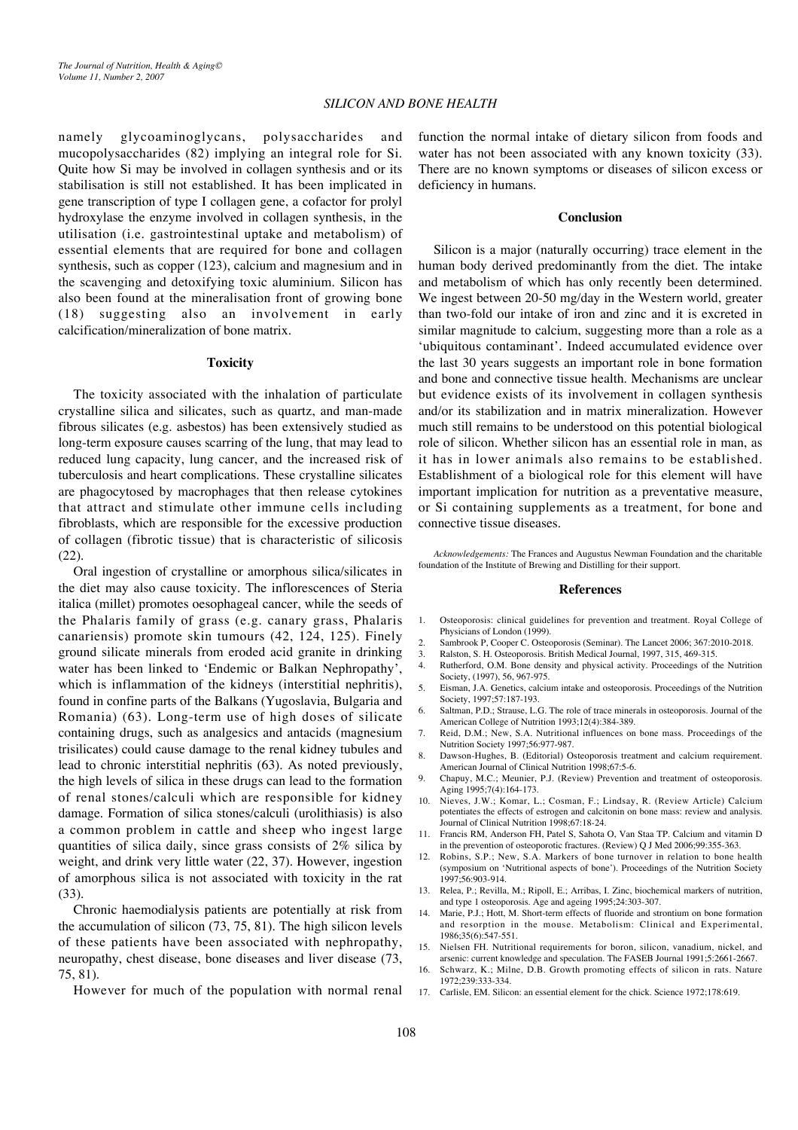namely glycoaminoglycans, polysaccharides and mucopolysaccharides (82) implying an integral role for Si. Quite how Si may be involved in collagen synthesis and or its stabilisation is still not established. It has been implicated in gene transcription of type I collagen gene, a cofactor for prolyl hydroxylase the enzyme involved in collagen synthesis, in the utilisation (i.e. gastrointestinal uptake and metabolism) of essential elements that are required for bone and collagen synthesis, such as copper (123), calcium and magnesium and in the scavenging and detoxifying toxic aluminium. Silicon has also been found at the mineralisation front of growing bone (18) suggesting also an involvement in early calcification/mineralization of bone matrix.

# **Toxicity**

The toxicity associated with the inhalation of particulate crystalline silica and silicates, such as quartz, and man-made fibrous silicates (e.g. asbestos) has been extensively studied as long-term exposure causes scarring of the lung, that may lead to reduced lung capacity, lung cancer, and the increased risk of tuberculosis and heart complications. These crystalline silicates are phagocytosed by macrophages that then release cytokines that attract and stimulate other immune cells including fibroblasts, which are responsible for the excessive production of collagen (fibrotic tissue) that is characteristic of silicosis (22).

Oral ingestion of crystalline or amorphous silica/silicates in the diet may also cause toxicity. The inflorescences of Steria italica (millet) promotes oesophageal cancer, while the seeds of the Phalaris family of grass (e.g. canary grass, Phalaris canariensis) promote skin tumours (42, 124, 125). Finely ground silicate minerals from eroded acid granite in drinking water has been linked to 'Endemic or Balkan Nephropathy', which is inflammation of the kidneys (interstitial nephritis), found in confine parts of the Balkans (Yugoslavia, Bulgaria and Romania) (63). Long-term use of high doses of silicate containing drugs, such as analgesics and antacids (magnesium trisilicates) could cause damage to the renal kidney tubules and lead to chronic interstitial nephritis (63). As noted previously, the high levels of silica in these drugs can lead to the formation of renal stones/calculi which are responsible for kidney damage. Formation of silica stones/calculi (urolithiasis) is also a common problem in cattle and sheep who ingest large quantities of silica daily, since grass consists of 2% silica by weight, and drink very little water (22, 37). However, ingestion of amorphous silica is not associated with toxicity in the rat (33).

Chronic haemodialysis patients are potentially at risk from the accumulation of silicon (73, 75, 81). The high silicon levels of these patients have been associated with nephropathy, neuropathy, chest disease, bone diseases and liver disease (73, 75, 81).

However for much of the population with normal renal

function the normal intake of dietary silicon from foods and water has not been associated with any known toxicity (33). There are no known symptoms or diseases of silicon excess or deficiency in humans.

#### **Conclusion**

Silicon is a major (naturally occurring) trace element in the human body derived predominantly from the diet. The intake and metabolism of which has only recently been determined. We ingest between 20-50 mg/day in the Western world, greater than two-fold our intake of iron and zinc and it is excreted in similar magnitude to calcium, suggesting more than a role as a 'ubiquitous contaminant'. Indeed accumulated evidence over the last 30 years suggests an important role in bone formation and bone and connective tissue health. Mechanisms are unclear but evidence exists of its involvement in collagen synthesis and/or its stabilization and in matrix mineralization. However much still remains to be understood on this potential biological role of silicon. Whether silicon has an essential role in man, as it has in lower animals also remains to be established. Establishment of a biological role for this element will have important implication for nutrition as a preventative measure, or Si containing supplements as a treatment, for bone and connective tissue diseases.

*Acknowledgements:* The Frances and Augustus Newman Foundation and the charitable foundation of the Institute of Brewing and Distilling for their support.

#### **References**

- 1. Osteoporosis: clinical guidelines for prevention and treatment. Royal College of Physicians of London (1999).
- 2. Sambrook P, Cooper C. Osteoporosis (Seminar). The Lancet 2006; 367:2010-2018.<br>Ralston S, H. Osteoporosis British Medical Journal 1997, 315, 469-315
- 3. Ralston, S. H. Osteoporosis. British Medical Journal, 1997, 315, 469-315.
- Rutherford, O.M. Bone density and physical activity. Proceedings of the Nutrition Society, (1997), 56, 967-975.
- 5. Eisman, J.A. Genetics, calcium intake and osteoporosis. Proceedings of the Nutrition Society, 1997;57:187-193.
- 6. Saltman, P.D.; Strause, L.G. The role of trace minerals in osteoporosis. Journal of the American College of Nutrition 1993;12(4):384-389.
- 7. Reid, D.M.; New, S.A. Nutritional influences on bone mass. Proceedings of the Nutrition Society 1997;56:977-987.
- 8. Dawson-Hughes, B. (Editorial) Osteoporosis treatment and calcium requirement. American Journal of Clinical Nutrition 1998;67:5-6.
- 9. Chapuy, M.C.; Meunier, P.J. (Review) Prevention and treatment of osteoporosis. Aging 1995;7(4):164-173.
- 10. Nieves, J.W.; Komar, L.; Cosman, F.; Lindsay, R. (Review Article) Calcium potentiates the effects of estrogen and calcitonin on bone mass: review and analysis. Journal of Clinical Nutrition 1998;67:18-24.
- 11. Francis RM, Anderson FH, Patel S, Sahota O, Van Staa TP. Calcium and vitamin D in the prevention of osteoporotic fractures. (Review) Q J Med 2006;99:355-363.
- 12. Robins, S.P.; New, S.A. Markers of bone turnover in relation to bone health (symposium on 'Nutritional aspects of bone'). Proceedings of the Nutrition Society 1997;56:903-914.
- 13. Relea, P.; Revilla, M.; Ripoll, E.; Arribas, I. Zinc, biochemical markers of nutrition, and type 1 osteoporosis. Age and ageing 1995;24:303-307.
- 14. Marie, P.J.; Hott, M. Short-term effects of fluoride and strontium on bone formation and resorption in the mouse. Metabolism: Clinical and Experimental, 1986;35(6):547-551.
- 15. Nielsen FH. Nutritional requirements for boron, silicon, vanadium, nickel, and arsenic: current knowledge and speculation. The FASEB Journal 1991;5:2661-2667.
- 16. Schwarz, K.; Milne, D.B. Growth promoting effects of silicon in rats. Nature 1972;239:333-334.
- 17. Carlisle, EM. Silicon: an essential element for the chick. Science 1972;178:619.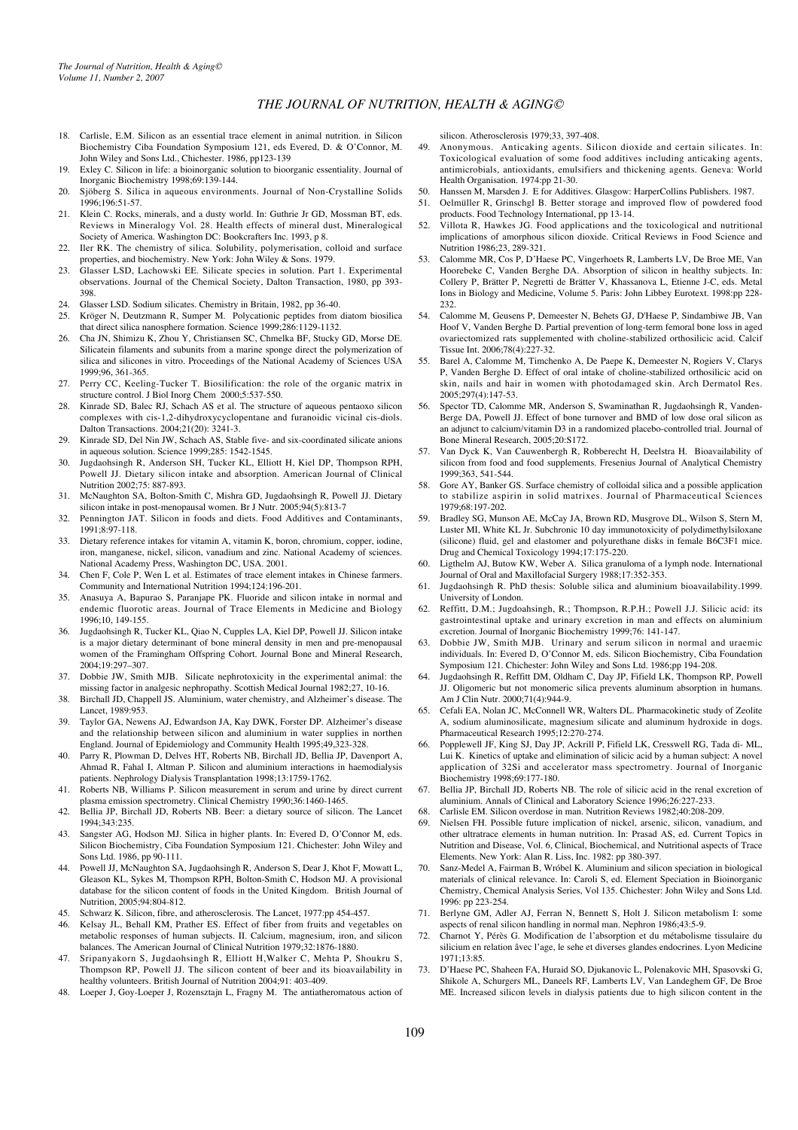- 18. Carlisle, E.M. Silicon as an essential trace element in animal nutrition. in Silicon Biochemistry Ciba Foundation Symposium 121, eds Evered, D. & O'Connor, M. John Wiley and Sons Ltd., Chichester. 1986, pp123-139
- 19. Exley C. Silicon in life: a bioinorganic solution to bioorganic essentiality. Journal of Inorganic Biochemistry 1998;69:139-144.
- Sjöberg S. Silica in aqueous environments. Journal of Non-Crystalline Solids 1996;196:51-57.
- 21. Klein C. Rocks, minerals, and a dusty world. In: Guthrie Jr GD, Mossman BT, eds. Reviews in Mineralogy Vol. 28. Health effects of mineral dust, Mineralogical Society of America. Washington DC: Bookcrafters Inc. 1993, p 8.
- Iler RK. The chemistry of silica. Solubility, polymerisation, colloid and surface properties, and biochemistry. New York: John Wiley & Sons. 1979.
- 23. Glasser LSD, Lachowski EE. Silicate species in solution. Part 1. Experimental observations. Journal of the Chemical Society, Dalton Transaction, 1980, pp 393- 398.
- 24. Glasser LSD. Sodium silicates. Chemistry in Britain, 1982, pp 36-40.
- 25. Kröger N, Deutzmann R, Sumper M. Polycationic peptides from diatom biosilica that direct silica nanosphere formation. Science 1999;286:1129-1132.
- 26. Cha JN, Shimizu K, Zhou Y, Christiansen SC, Chmelka BF, Stucky GD, Morse DE. Silicatein filaments and subunits from a marine sponge direct the polymerization of silica and silicones in vitro. Proceedings of the National Academy of Sciences USA 1999;96, 361-365.
- 27. Perry CC, Keeling-Tucker T. Biosilification: the role of the organic matrix in structure control. J Biol Inorg Chem 2000;5:537-550.
- 28. Kinrade SD, Balec RJ, Schach AS et al. The structure of aqueous pentaoxo silicon complexes with cis-1,2-dihydroxycyclopentane and furanoidic vicinal cis-diols. Dalton Transactions. 2004;21(20): 3241-3.
- 29. Kinrade SD, Del Nin JW, Schach AS, Stable five- and six-coordinated silicate anions in aqueous solution. Science 1999;285: 1542-1545.
- 30. Jugdaohsingh R, Anderson SH, Tucker KL, Elliott H, Kiel DP, Thompson RPH, Powell JJ. Dietary silicon intake and absorption. American Journal of Clinical Nutrition 2002;75: 887-893.
- 31. McNaughton SA, Bolton-Smith C, Mishra GD, Jugdaohsingh R, Powell JJ. Dietary silicon intake in post-menopausal women. Br J Nutr. 2005;94(5):813-7
- 32. Pennington JAT. Silicon in foods and diets. Food Additives and Contaminants, 1991;8:97-118.
- 33. Dietary reference intakes for vitamin A, vitamin K, boron, chromium, copper, iodine, iron, manganese, nickel, silicon, vanadium and zinc. National Academy of sciences. National Academy Press, Washington DC, USA. 2001.
- 34. Chen F, Cole P, Wen L et al. Estimates of trace element intakes in Chinese farmers. Community and International Nutrition 1994;124:196-201.
- 35. Anasuya A, Bapurao S, Paranjape PK. Fluoride and silicon intake in normal and endemic fluorotic areas. Journal of Trace Elements in Medicine and Biology 1996;10, 149-155.
- 36. Jugdaohsingh R, Tucker KL, Qiao N, Cupples LA, Kiel DP, Powell JJ. Silicon intake is a major dietary determinant of bone mineral density in men and pre-menopausal women of the Framingham Offspring Cohort. Journal Bone and Mineral Research, 2004;19:297–307.
- 37. Dobbie JW, Smith MJB. Silicate nephrotoxicity in the experimental animal: the missing factor in analgesic nephropathy. Scottish Medical Journal 1982;27, 10-16.
- 38. Birchall JD, Chappell JS. Aluminium, water chemistry, and Alzheimer's disease. The Lancet, 1989:953.
- 39. Taylor GA, Newens AJ, Edwardson JA, Kay DWK, Forster DP. Alzheimer's disease and the relationship between silicon and aluminium in water supplies in northen England. Journal of Epidemiology and Community Health 1995;49,323-328.
- 40. Parry R, Plowman D, Delves HT, Roberts NB, Birchall JD, Bellia JP, Davenport A, Ahmad R, Fahal I, Altman P. Silicon and aluminium interactions in haemodialysis patients. Nephrology Dialysis Transplantation 1998;13:1759-1762.
- 41. Roberts NB, Williams P. Silicon measurement in serum and urine by direct current plasma emission spectrometry. Clinical Chemistry 1990;36:1460-1465.
- 42. Bellia JP, Birchall JD, Roberts NB. Beer: a dietary source of silicon. The Lancet 1994;343:235.
- 43. Sangster AG, Hodson MJ. Silica in higher plants. In: Evered D, O'Connor M, eds. Silicon Biochemistry, Ciba Foundation Symposium 121. Chichester: John Wiley and Sons Ltd. 1986, pp 90-111.
- 44. Powell JJ, McNaughton SA, Jugdaohsingh R, Anderson S, Dear J, Khot F, Mowatt L, Gleason KL, Sykes M, Thompson RPH, Bolton-Smith C, Hodson MJ. A provisional database for the silicon content of foods in the United Kingdom. British Journal of Nutrition, 2005;94:804-812.
- 45. Schwarz K. Silicon, fibre, and atherosclerosis. The Lancet, 1977:pp 454-457.
- 46. Kelsay JL, Behall KM, Prather ES. Effect of fiber from fruits and vegetables on metabolic responses of human subjects. II. Calcium, magnesium, iron, and silicon balances. The American Journal of Clinical Nutrition 1979;32:1876-1880.
- 47. Sripanyakorn S, Jugdaohsingh R, Elliott H,Walker C, Mehta P, Shoukru S, Thompson RP, Powell JJ. The silicon content of beer and its bioavailability in healthy volunteers. British Journal of Nutrition 2004;91: 403-409.
- 48. Loeper J, Goy-Loeper J, Rozensztajn L, Fragny M. The antiatheromatous action of

silicon. Atherosclerosis 1979;33, 397-408.

- 49. Anonymous. Anticaking agents. Silicon dioxide and certain silicates. In: Toxicological evaluation of some food additives including anticaking agents, antimicrobials, antioxidants, emulsifiers and thickening agents. Geneva: World Health Organisation. 1974:pp 21-30.
- 50. Hanssen M, Marsden J. E for Additives. Glasgow: HarperCollins Publishers. 1987.<br>51. Oelmüller R. Grinschel B. Better storage and improved flow of powdered for
- 51. Oelmüller R, Grinschgl B. Better storage and improved flow of powdered food products. Food Technology International, pp 13-14.
- <sup>1</sup><br>Villota R, Hawkes JG. Food applications and the toxicological and nutritional implications of amorphous silicon dioxide. Critical Reviews in Food Science and Nutrition 1986;23, 289-321.
- 53. Calomme MR, Cos P, D'Haese PC, Vingerhoets R, Lamberts LV, De Broe ME, Van Hoorebeke C, Vanden Berghe DA. Absorption of silicon in healthy subjects. In: Collery P, Brätter P, Negretti de Brätter V, Khassanova L, Etienne J-C, eds. Metal Ions in Biology and Medicine, Volume 5. Paris: John Libbey Eurotext. 1998:pp 228- 232.
- 54. Calomme M, Geusens P, Demeester N, Behets GJ, D'Haese P, Sindambiwe JB, Van Hoof V, Vanden Berghe D. Partial prevention of long-term femoral bone loss in aged ovariectomized rats supplemented with choline-stabilized orthosilicic acid. Calcif Tissue Int. 2006;78(4):227-32.
- 55. Barel A, Calomme M, Timchenko A, De Paepe K, Demeester N, Rogiers V, Clarys P, Vanden Berghe D. Effect of oral intake of choline-stabilized orthosilicic acid on skin, nails and hair in women with photodamaged skin. Arch Dermatol Res. 2005;297(4):147-53.
- Spector TD, Calomme MR, Anderson S, Swaminathan R, Jugdaohsingh R, Vanden-Berge DA, Powell JJ. Effect of bone turnover and BMD of low dose oral silicon as an adjunct to calcium/vitamin D3 in a randomized placebo-controlled trial. Journal of Bone Mineral Research, 2005;20:S172.
- 57. Van Dyck K, Van Cauwenbergh R, Robberecht H, Deelstra H. Bioavailability of silicon from food and food supplements. Fresenius Journal of Analytical Chemistry 1999;363, 541-544.
- 58. Gore AY, Banker GS. Surface chemistry of colloidal silica and a possible application to stabilize aspirin in solid matrixes. Journal of Pharmaceutical Sciences 1979;68:197-202.
- Bradley SG, Munson AE, McCay JA, Brown RD, Musgrove DL, Wilson S, Stern M, Luster MI, White KL Jr. Subchronic 10 day immunotoxicity of polydimethylsiloxane (silicone) fluid, gel and elastomer and polyurethane disks in female B6C3F1 mice. Drug and Chemical Toxicology 1994;17:175-220.
- Ligthelm AJ, Butow KW, Weber A. Silica granuloma of a lymph node. International Journal of Oral and Maxillofacial Surgery 1988;17:352-353.
- 61. Jugdaohsingh R. PhD thesis: Soluble silica and aluminium bioavailability.1999. University of London.
- 62. Reffitt, D.M.; Jugdoahsingh, R.; Thompson, R.P.H.; Powell J.J. Silicic acid: its gastrointestinal uptake and urinary excretion in man and effects on aluminium excretion. Journal of Inorganic Biochemistry 1999;76: 141-147.
- 63. Dobbie JW, Smith MJB. Urinary and serum silicon in normal and uraemic individuals. In: Evered D, O'Connor M, eds. Silicon Biochemistry, Ciba Foundation Symposium 121. Chichester: John Wiley and Sons Ltd. 1986;pp 194-208.
- Jugdaohsingh R, Reffitt DM, Oldham C, Day JP, Fifield LK, Thompson RP, Powell JJ. Oligomeric but not monomeric silica prevents aluminum absorption in humans. Am J Clin Nutr. 2000;71(4):944-9.
- 65. Cefali EA, Nolan JC, McConnell WR, Walters DL. Pharmacokinetic study of Zeolite A, sodium aluminosilicate, magnesium silicate and aluminum hydroxide in dogs. Pharmaceutical Research 1995;12:270-274.
- 66. Popplewell JF, King SJ, Day JP, Ackrill P, Fifield LK, Cresswell RG, Tada di- ML, Lui K. Kinetics of uptake and elimination of silicic acid by a human subject: A novel application of 32Si and accelerator mass spectrometry. Journal of Inorganic Biochemistry 1998;69:177-180.
- 67. Bellia JP, Birchall JD, Roberts NB. The role of silicic acid in the renal excretion of aluminium. Annals of Clinical and Laboratory Science 1996;26:227-233.
- 68. Carlisle EM. Silicon overdose in man. Nutrition Reviews 1982;40:208-209.
- 69. Nielsen FH. Possible future implication of nickel, arsenic, silicon, vanadium, and other ultratrace elements in human nutrition. In: Prasad AS, ed. Current Topics in Nutrition and Disease, Vol. 6, Clinical, Biochemical, and Nutritional aspects of Trace Elements. New York: Alan R. Liss, Inc. 1982: pp 380-397.
- 70. Sanz-Medel A, Fairman B, Wróbel K. Aluminium and silicon speciation in biological materials of clinical relevance. In: Caroli S, ed. Element Speciation in Bioinorganic Chemistry, Chemical Analysis Series, Vol 135. Chichester: John Wiley and Sons Ltd. 1996: pp 223-254.
- 71. Berlyne GM, Adler AJ, Ferran N, Bennett S, Holt J. Silicon metabolism I: some aspects of renal silicon handling in normal man. Nephron 1986;43:5-9.
- 72. Charnot Y, Pérès G. Modification de l'absorption et du métabolisme tissulaire du silicium en relation âvec l'age, le sehe et diverses glandes endocrines. Lyon Medicine 1971;13:85.
- 73. D'Haese PC, Shaheen FA, Huraid SO, Djukanovic L, Polenakovic MH, Spasovski G, Shikole A, Schurgers ML, Daneels RF, Lamberts LV, Van Landeghem GF, De Broe ME. Increased silicon levels in dialysis patients due to high silicon content in the